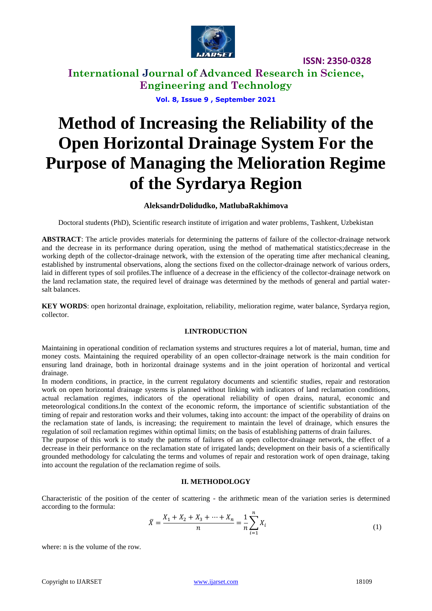

**International Journal of Advanced Research in Science, Engineering and Technology**

**Vol. 8, Issue 9 , September 2021**

# **Method of Increasing the Reliability of the Open Horizontal Drainage System For the Purpose of Managing the Melioration Regime of the Syrdarya Region**

#### **AleksandrDolidudko, MatlubaRakhimova**

Doctoral students (PhD), Scientific research institute of irrigation and water problems, Tashkent, Uzbekistan

**ABSTRACT**: The article provides materials for determining the patterns of failure of the collector-drainage network and the decrease in its performance during operation, using the method of mathematical statistics;decrease in the working depth of the collector-drainage network, with the extension of the operating time after mechanical cleaning, established by instrumental observations, along the sections fixed on the collector-drainage network of various orders, laid in different types of soil profiles.The influence of a decrease in the efficiency of the collector-drainage network on the land reclamation state, the required level of drainage was determined by the methods of general and partial watersalt balances.

**KEY WORDS**: open horizontal drainage, exploitation, reliability, melioration regime, water balance, Syrdarya region, collector.

#### **I.INTRODUCTION**

Maintaining in operational condition of reclamation systems and structures requires a lot of material, human, time and money costs. Maintaining the required operability of an open collector-drainage network is the main condition for ensuring land drainage, both in horizontal drainage systems and in the joint operation of horizontal and vertical drainage.

In modern conditions, in practice, in the current regulatory documents and scientific studies, repair and restoration work on open horizontal drainage systems is planned without linking with indicators of land reclamation conditions, actual reclamation regimes, indicators of the operational reliability of open drains, natural, economic and meteorological conditions.In the context of the economic reform, the importance of scientific substantiation of the timing of repair and restoration works and their volumes, taking into account: the impact of the operability of drains on the reclamation state of lands, is increasing; the requirement to maintain the level of drainage, which ensures the regulation of soil reclamation regimes within optimal limits; on the basis of establishing patterns of drain failures.

The purpose of this work is to study the patterns of failures of an open collector-drainage network, the effect of a decrease in their performance on the reclamation state of irrigated lands; development on their basis of a scientifically grounded methodology for calculating the terms and volumes of repair and restoration work of open drainage, taking into account the regulation of the reclamation regime of soils.

#### **II. METHODOLOGY**

Characteristic of the position of the center of scattering - the arithmetic mean of the variation series is determined according to the formula:

$$
\bar{X} = \frac{X_1 + X_2 + X_3 + \dots + X_n}{n} = \frac{1}{n} \sum_{i=1}^{n} X_i
$$
\n(1)

where: n is the volume of the row.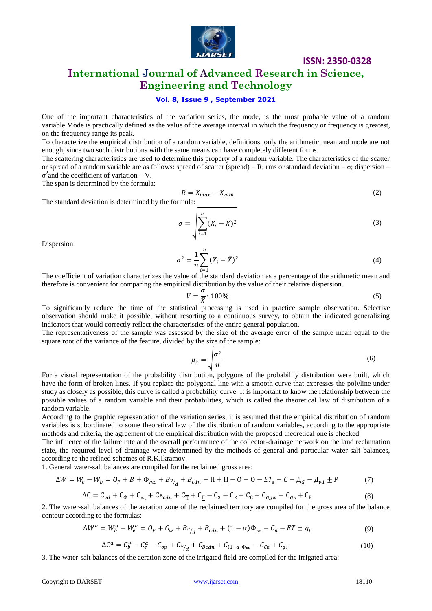

**International Journal of Advanced Research in Science, Engineering and Technology**

#### **Vol. 8, Issue 9 , September 2021**

One of the important characteristics of the variation series, the mode, is the most probable value of a random variable.Mode is practically defined as the value of the average interval in which the frequency or frequency is greatest, on the frequency range its peak.

To characterize the empirical distribution of a random variable, definitions, only the arithmetic mean and mode are not enough, since two such distributions with the same means can have completely different forms.

The scattering characteristics are used to determine this property of a random variable. The characteristics of the scatter or spread of a random variable are as follows: spread of scatter (spread) – R; rms or standard deviation – σ; dispersion –  $\sigma^2$  and the coefficient of variation – V.

The span is determined by the formula:

$$
R = X_{max} - X_{min} \tag{2}
$$

The standard deviation is determined by the formula:

$$
\sigma = \sqrt{\sum_{i=1}^{n} (X_i - \bar{X})^2}
$$
 (3)

Dispersion

$$
\sigma^2 = \frac{1}{n} \sum_{i=1}^n (X_i - \bar{X})^2
$$
 (4)

The coefficient of variation characterizes the value of the standard deviation as a percentage of the arithmetic mean and therefore is convenient for comparing the empirical distribution by the value of their relative dispersion.

$$
V = \frac{\sigma}{\overline{X}} \cdot 100\%
$$
 (5)

To significantly reduce the time of the statistical processing is used in practice sample observation. Selective observation should make it possible, without resorting to a continuous survey, to obtain the indicated generalizing indicators that would correctly reflect the characteristics of the entire general population.

The representativeness of the sample was assessed by the size of the average error of the sample mean equal to the square root of the variance of the feature, divided by the size of the sample:

$$
\mu_x = \sqrt{\frac{\sigma^2}{n}}\tag{6}
$$

For a visual representation of the probability distribution, polygons of the probability distribution were built, which have the form of broken lines. If you replace the polygonal line with a smooth curve that expresses the polyline under study as closely as possible, this curve is called a probability curve. It is important to know the relationship between the possible values of a random variable and their probabilities, which is called the theoretical law of distribution of a random variable.

According to the graphic representation of the variation series, it is assumed that the empirical distribution of random variables is subordinated to some theoretical law of the distribution of random variables, according to the appropriate methods and criteria, the agreement of the empirical distribution with the proposed theoretical one is checked.

The influence of the failure rate and the overall performance of the collector-drainage network on the land reclamation state, the required level of drainage were determined by the methods of general and particular water-salt balances, according to the refined schemes of R.K.Ikramov.

1. General water-salt balances are compiled for the reclaimed gross area:

$$
\Delta W = W_e - W_b = O_P + B + \Phi_{mc} + B v_{/d} + B_{cdn} + \overline{\Pi} + \underline{\Pi} - \overline{O} - \underline{O} - ET_{\scriptscriptstyle B} - C - \underline{A}_G - \underline{A}_{vd} \pm P \tag{7}
$$

$$
\Delta C = C_{\nu d} + C_{\Phi} + C_{\text{B}_{\mu}} + C_{\text{B}_{\nu}d\eta} + C_{\overline{\Pi}} + C_{\underline{\Pi}} - C_3 - C_2 - C_{\text{C}} - C_{\text{G}g\omega} - C_{\text{G}_{\text{B}}} + C_{\text{P}} \tag{8}
$$

2. The water-salt balances of the aeration zone of the reclaimed territory are compiled for the gross area of the balance contour according to the formulas:

$$
\Delta W^a = W^a_b - W^a_e = O_P + O_w + B v_{d} + B_{cdn} + (1 - \alpha) \Phi_{\text{BH}} - C_n - ET \pm g_l
$$
\n(9)

$$
\Delta C^a = C_b^a - C_e^a - C_{op} + C_{\nu/d} + C_{Bcdn} + C_{(1-\alpha)\Phi_{\text{BH}}} - C_{Cn} + C_{g_I}
$$
\n(10)

3. The water-salt balances of the aeration zone of the irrigated field are compiled for the irrigated area: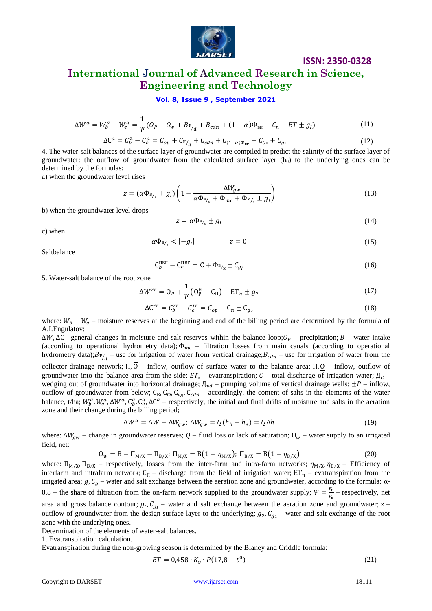

## **International Journal of Advanced Research in Science, Engineering and Technology**

#### **Vol. 8, Issue 9 , September 2021**

$$
\Delta W^a = W^a_b - W^a_e = \frac{1}{\psi} (O_P + O_w + B v_{/d} + B_{cdn} + (1 - \alpha) \Phi_{\text{BH}} - C_n - ET \pm g_I)
$$
(11)

$$
\Delta C^{a} = C_{b}^{a} - C_{e}^{a} = C_{op} + C_{\nu/d} + C_{cdn} + C_{(1-\alpha)\Phi_{\text{BK}}} - C_{Cn} \pm C_{g_{I}}
$$
(12)

4. The water-salt balances of the surface layer of groundwater are compiled to predict the salinity of the surface layer of groundwater: the outflow of groundwater from the calculated surface layer  $(h_0)$  to the underlying ones can be determined by the formulas:

а) when the groundwater level rises

$$
z = (\alpha \Phi_{B/x} \pm g_I) \left( 1 - \frac{\Delta W_{gw}}{\alpha \Phi_{B/x} + \Phi_{mc} + \Phi_{M/x} \pm g_I} \right)
$$
(13)

b) when the groundwater level drops

$$
z = \alpha \Phi_{B_{\gamma_x}} \pm g_I \tag{14}
$$

**ISSN: 2350-0328**

c) when

$$
\alpha \Phi_{B/x} < | -g_I| \qquad z = 0 \tag{15}
$$

Saltbalance

$$
C_b^{\text{IBF}} - C_e^{\text{IBF}} = C + \Phi_{B/_{\chi}} \pm C_{g_I} \tag{16}
$$

5. Water-salt balance of the root zone

$$
\Delta W^{rz} = 0_P + \frac{1}{\psi} \left( 0_P^H - C_\Pi \right) - ET_n \pm g_2 \tag{17}
$$

$$
\Delta C^{rz} = C_b^{rz} - C_e^{rz} = C_{op} - C_n \pm C_{g_2}
$$
\n
$$
(18)
$$

where:  $W_b - W_e$  – moisture reserves at the beginning and end of the billing period are determined by the formula of A.I.Engulatov:

 $\Delta W$ ,  $\Delta C$  general changes in moisture and salt reserves within the balance loop;  $O_p$  – precipitation; B – water intake (according to operational hydrometry data);  $\Phi_{mc}$  – filtration losses from main canals (according to operational hydrometry data);  $Bv_{d}$  – use for irrigation of water from vertical drainage;  $B_{cdn}$  – use for irrigation of water from the collector-drainage network;  $\overline{II}$ ,  $0$  – inflow, outflow of surface water to the balance area;  $\underline{II}$ ,  $\underline{O}$  – inflow, outflow of groundwater into the balance area from the side;  $ET_B$  – evatranspiration;  $C$  – total discharge of irrigation water;  $A_G$  – wedging out of groundwater into horizontal drainage;  $\mu_{vd}$  – pumping volume of vertical drainage wells;  $\pm P$  – inflow, outflow of groundwater from below;  $C_B$ ,  $C_{\phi}$ ,  $C_{\phi}$ ,  $C_{\phi}$  – accordingly, the content of salts in the elements of the water balance, t/ha;  $W_b^a$ ,  $W_e^a$ ,  $\Delta W^a$ ,  $C_b^a$ ,  $C_e^a$ ,  $\Delta C^a$  – respectively, the initial and final drifts of moisture and salts in the aeration zone and their change during the billing period;

$$
\Delta W^a = \Delta W - \Delta W_{gw}; \ \Delta W_{gw} = Q(h_b - h_e) = Q\Delta h \tag{19}
$$

where:  $\Delta W_{gw}$  – change in groundwater reserves;  $Q$  – fluid loss or lack of saturation;  $O_w$  – water supply to an irrigated field, net:

$$
0_{w} = B - \Pi_{M/X} - \Pi_{B/X}; \ \Pi_{M/X} = B(1 - \eta_{M/X}); \ \Pi_{B/X} = B(1 - \eta_{B/X})
$$
\n(20)

where:  $\Pi_{M/X}$ ,  $\Pi_{B/X}$  – respectively, losses from the inter-farm and intra-farm networks;  $\eta_{M/X}$ ,  $\eta_{B/X}$  – Efficiency of interfarm and intrafarm network;  $C_{\Pi}$  – discharge from the field of irrigation water;  $ET_n$  – evatranspiration from the irrigated area;  $g, C_g$  – water and salt exchange between the aeration zone and groundwater, according to the formula: α-0,8 – the share of filtration from the on-farm network supplied to the groundwater supply;  $\Psi = \frac{F}{r}$  $\frac{F_{\rm H}}{F_{\rm B}}$  – respectively, net area and gross balance contour;  $g_l$ ,  $C_{q_l}$  – water and salt exchange between the aeration zone and groundwater;  $z$  – outflow of groundwater from the design surface layer to the underlying;  $g_2$ ,  $C_{q_2}$  – water and salt exchange of the root zone with the underlying ones.

Determination of the elements of water-salt balances.

1. Evatranspiration calculation.

Evatranspiration during the non-growing season is determined by the Blaney and Criddle formula:

$$
ET = 0.458 \cdot K_v \cdot P(17.8 + t^0) \tag{21}
$$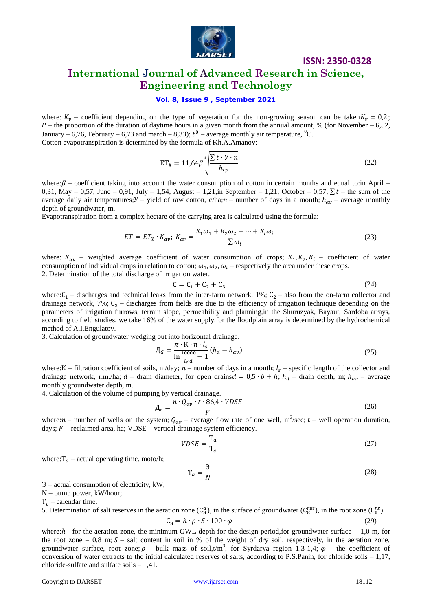

## **International Journal of Advanced Research in Science, Engineering and Technology**

#### **Vol. 8, Issue 9 , September 2021**

where:  $K_v$  – coefficient depending on the type of vegetation for the non-growing season can be taken  $K_v = 0.2$ ;  $P$  – the proportion of the duration of daytime hours in a given month from the annual amount, % (for November – 6,52, January – 6,76, February – 6,73 and march – 8,33);  $t^0$  – average monthly air temperature, <sup>0</sup>C. Cotton evapotranspiration is determined by the formula of Kh.A.Amanov:

$$
ET_{X} = 11.64 \beta \sqrt[4]{\frac{\sum t \cdot y \cdot n}{h_{cp}}}
$$
 (22)

where:  $\beta$  – coefficient taking into account the water consumption of cotton in certain months and equal to:in April – 0,31, May – 0,57, June – 0,91, July – 1,54, August – 1,21, in September – 1,21, October – 0,57;  $\sum t$  – the sum of the average daily air temperatures;  $Y -$  yield of raw cotton, c/ha; $n -$  number of days in a month;  $h_{av}$  – average monthly depth of groundwater, m.

Evapotranspiration from a complex hectare of the carrying area is calculated using the formula:

$$
ET = ET_X \cdot K_{av}; \ K_{av} = \frac{K_1 \omega_1 + K_2 \omega_2 + \dots + K_i \omega_i}{\sum \omega_i} \tag{23}
$$

where:  $K_{av}$  – weighted average coefficient of water consumption of crops;  $K_1, K_2, K_i$  – coefficient of water consumption of individual crops in relation to cotton;  $\omega_1$ ,  $\omega_2$ ,  $\omega_i$  – respectively the area under these crops.

2. Determination of the total discharge of irrigation water.

$$
C = C_1 + C_2 + C_3 \tag{24}
$$

where:  $C_1$  – discharges and technical leaks from the inter-farm network, 1%;  $C_2$  – also from the on-farm collector and drainage network,  $7\%$ ;  $C_3$  – discharges from fields are due to the efficiency of irrigation technique depending on the parameters of irrigation furrows, terrain slope, permeability and planning,in the Shuruzyak, Bayaut, Sardoba arrays, according to field studies, we take 16% of the water supply,for the floodplain array is determined by the hydrochemical method of A.I.Engulatov.

3. Calculation of groundwater wedging out into horizontal drainage.

$$
A_G = \frac{\pi \cdot K \cdot n \cdot l_s}{\ln \frac{10000}{l_s d} - 1} (h_d - h_{av})
$$
\n(25)

where:K – filtration coefficient of soils, m/day;  $n$  – number of days in a month;  $l_s$  – specific length of the collector and drainage network, r.m./ha; d – drain diameter, for open drains  $d = 0.5 \cdot b + h$ ;  $h_d$  – drain depth, m;  $h_{av}$  – average monthly groundwater depth, m.

4. Calculation of the volume of pumping by vertical drainage.

$$
\mu_{\rm B} = \frac{n \cdot Q_{av} \cdot t \cdot 86.4 \cdot VDSE}{F}
$$
\n(26)

where:  $n$  – number of wells on the system;  $Q_{av}$  – average flow rate of one well, m<sup>3</sup>/sec;  $t$  – well operation duration, days;  $F$  – reclaimed area, ha; VDSE – vertical drainage system efficiency.

$$
VDSE = \frac{T_a}{T_c} \tag{27}
$$

where:  $T_a$  – actual operating time, moto/h;

$$
T_a = \frac{3}{N} \tag{28}
$$

Э – actual consumption of electricity, kW;

N – pump power, kW/hour;

 $T_c$  – calendar time.

5. Determination of salt reserves in the aeration zone  $(C_{\rm H}^{\alpha})$ , in the surface of groundwater  $(C_{\rm H}^{\rm IBF})$ , in the root zone  $(C_{\rm H}^{\rm z})$ .

$$
C_{\rm H} = h \cdot \rho \cdot S \cdot 100 \cdot \varphi \tag{29}
$$

where:  $h$  - for the aeration zone, the minimum GWL depth for the design period, for groundwater surface  $-1,0$  m, for the root zone – 0,8 m;  $S$  – salt content in soil in % of the weight of dry soil, respectively, in the aeration zone, groundwater surface, root zone;  $\rho$  – bulk mass of soil,t/m<sup>3</sup>, for Syrdarya region 1,3-1,4;  $\varphi$  – the coefficient of conversion of water extracts to the initial calculated reserves of salts, according to P.S.Panin, for chloride soils  $-1,17$ , chloride-sulfate and sulfate soils – 1,41.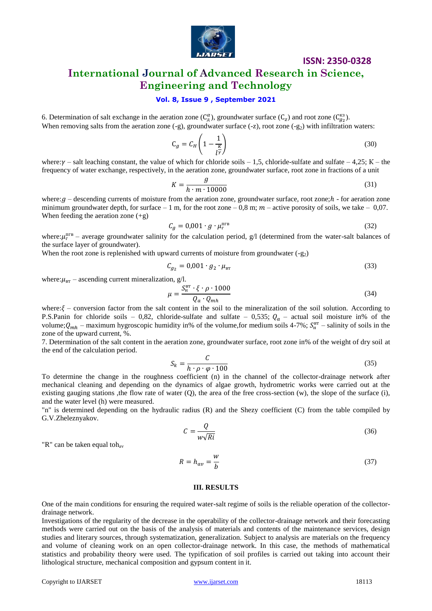

## **International Journal of Advanced Research in Science, Engineering and Technology**

#### **Vol. 8, Issue 9 , September 2021**

6. Determination of salt exchange in the aeration zone  $(C_{\alpha}^{\alpha})$ , groundwater surface  $(C_{z})$  and root zone  $(C_{\alpha}^{ss})$ . When removing salts from the aeration zone  $(-g)$ , groundwater surface  $(-z)$ , root zone  $(-g_2)$  with infiltration waters:

$$
C_g = C_H \left( 1 - \frac{1}{l^{\gamma}} \right) \tag{30}
$$

where: $\gamma$  – salt leaching constant, the value of which for chloride soils – 1,5, chloride-sulfate and sulfate – 4,25; K – the frequency of water exchange, respectively, in the aeration zone, groundwater surface, root zone in fractions of a unit

$$
K = \frac{g}{h \cdot m \cdot 10000} \tag{31}
$$

where:  $q$  – descending currents of moisture from the aeration zone, groundwater surface, root zone;  $h$  - for aeration zone minimum groundwater depth, for surface  $-1$  m, for the root zone  $-0.8$  m;  $m$  – active porosity of soils, we take  $-0.07$ . When feeding the aeration zone (+g)

$$
C_g = 0.001 \cdot g \cdot \mu_{\rm r}^{\rm nrs} \tag{32}
$$

where:  $\mu_{r}^{\text{HPB}}$  – average groundwater salinity for the calculation period, g/l (determined from the water-salt balances of the surface layer of groundwater).

When the root zone is replenished with upward currents of moisture from groundwater  $(-g_2)$ 

$$
C_{g_2} = 0.001 \cdot g_2 \cdot \mu_{\text{BT}} \tag{33}
$$

where:  $\mu_{BT}$  – ascending current mineralization, g/l.

$$
\mu = \frac{S_{\rm H}^{\rm BT} \cdot \xi \cdot \rho \cdot 1000}{Q_a \cdot Q_{mh}}
$$
\n(34)

where:  $\xi$  – conversion factor from the salt content in the soil to the mineralization of the soil solution. According to P.S.Panin for chloride soils – 0,82, chloride-sulfate and sulfate – 0,535;  $Q_a$  – actual soil moisture in% of the volume;  $Q_{mh}$  – maximum hygroscopic humidity in% of the volume, for medium soils 4-7%;  $S_H^{\text{BT}}$  – salinity of soils in the zone of the upward current, %.

7. Determination of the salt content in the aeration zone, groundwater surface, root zone in% of the weight of dry soil at the end of the calculation period.

$$
S_k = \frac{C}{h \cdot \rho \cdot \varphi \cdot 100} \tag{35}
$$

To determine the change in the roughness coefficient (n) in the channel of the collector-drainage network after mechanical cleaning and depending on the dynamics of algae growth, hydrometric works were carried out at the existing gauging stations ,the flow rate of water  $(Q)$ , the area of the free cross-section  $(w)$ , the slope of the surface  $(i)$ , and the water level (h) were measured.

"n" is determined depending on the hydraulic radius (R) and the Shezy coefficient (C) from the table compiled by G.V.Zheleznyakov.

$$
C = \frac{Q}{w\sqrt{R}i}
$$
\n(36)

"R" can be taken equal toh<sub>av</sub>

$$
R = h_{av} = \frac{w}{b} \tag{37}
$$

#### **III. RESULTS**

One of the main conditions for ensuring the required water-salt regime of soils is the reliable operation of the collectordrainage network.

Investigations of the regularity of the decrease in the operability of the collector-drainage network and their forecasting methods were carried out on the basis of the analysis of materials and contents of the maintenance services, design studies and literary sources, through systematization, generalization. Subject to analysis are materials on the frequency and volume of cleaning work on an open collector-drainage network. In this case, the methods of mathematical statistics and probability theory were used. The typification of soil profiles is carried out taking into account their lithological structure, mechanical composition and gypsum content in it.